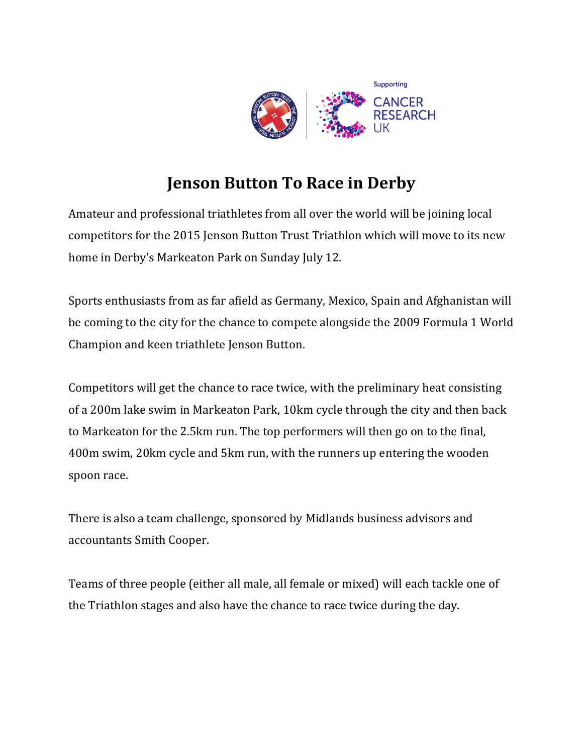

# **Jenson Button To Race in Derby**

Amateur and professional triathletes from all over the world will be joining local competitors for the 2015 Jenson Button Trust Triathlon which will move to its new home in Derby's Markeaton Park on Sunday July 12.

Sports enthusiasts from as far afield as Germany, Mexico, Spain and Afghanistan will be coming to the city for the chance to compete alongside the 2009 Formula 1 World Champion and keen triathlete Jenson Button.

Competitors will get the chance to race twice, with the preliminary heat consisting of a 200m lake swim in Markeaton Park, 10km cycle through the city and then back to Markeaton for the 2.5km run. The top performers will then go on to the final, 400m swim, 20km cycle and 5km run, with the runners up entering the wooden spoon race.

There is also a team challenge, sponsored by Midlands business advisors and accountants Smith Cooper.

Teams of three people (either all male, all female or mixed) will each tackle one of the Triathlon stages and also have the chance to race twice during the day.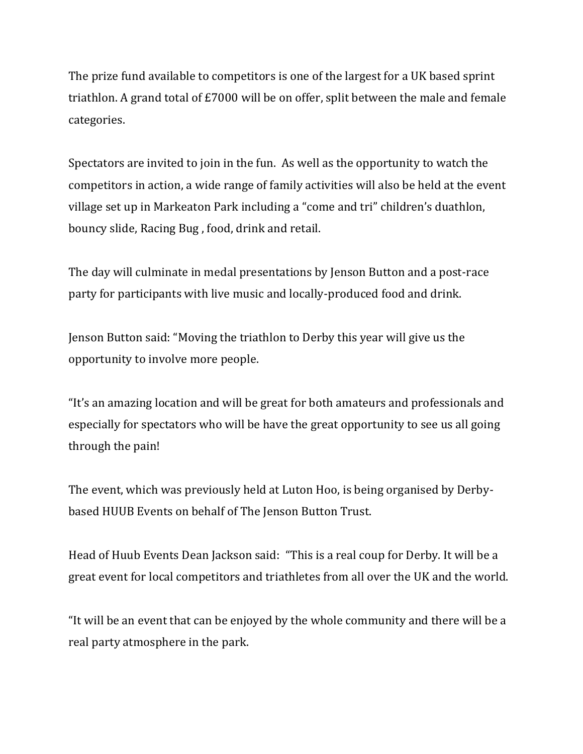The prize fund available to competitors is one of the largest for a UK based sprint triathlon. A grand total of £7000 will be on offer, split between the male and female categories.

Spectators are invited to join in the fun. As well as the opportunity to watch the competitors in action, a wide range of family activities will also be held at the event village set up in Markeaton Park including a "come and tri" children's duathlon, bouncy slide, Racing Bug , food, drink and retail.

The day will culminate in medal presentations by Jenson Button and a post-race party for participants with live music and locally-produced food and drink.

Jenson Button said: "Moving the triathlon to Derby this year will give us the opportunity to involve more people.

"It's an amazing location and will be great for both amateurs and professionals and especially for spectators who will be have the great opportunity to see us all going through the pain!

The event, which was previously held at Luton Hoo, is being organised by Derbybased HUUB Events on behalf of The Jenson Button Trust.

Head of Huub Events Dean Jackson said: "This is a real coup for Derby. It will be a great event for local competitors and triathletes from all over the UK and the world.

"It will be an event that can be enjoyed by the whole community and there will be a real party atmosphere in the park.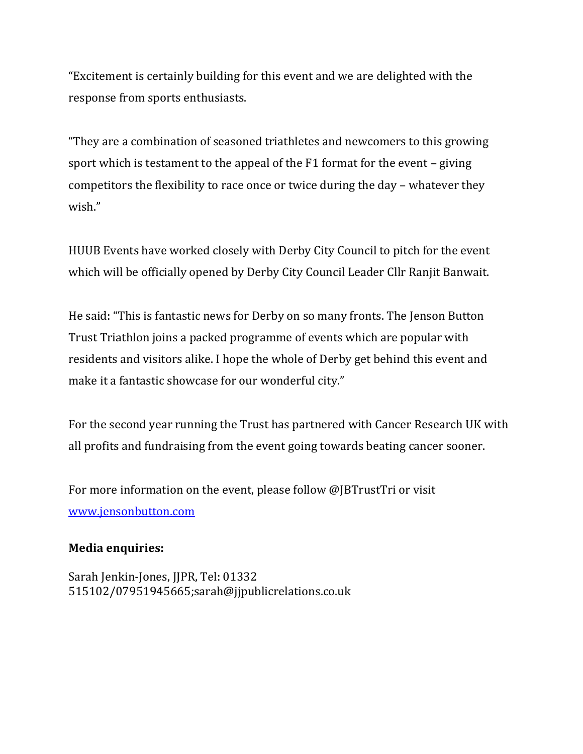"Excitement is certainly building for this event and we are delighted with the response from sports enthusiasts.

"They are a combination of seasoned triathletes and newcomers to this growing sport which is testament to the appeal of the F1 format for the event – giving competitors the flexibility to race once or twice during the day – whatever they wish."

HUUB Events have worked closely with Derby City Council to pitch for the event which will be officially opened by Derby City Council Leader Cllr Ranjit Banwait.

He said: "This is fantastic news for Derby on so many fronts. The Jenson Button Trust Triathlon joins a packed programme of events which are popular with residents and visitors alike. I hope the whole of Derby get behind this event and make it a fantastic showcase for our wonderful city."

For the second year running the Trust has partnered with Cancer Research UK with all profits and fundraising from the event going towards beating cancer sooner.

For more information on the event, please follow @JBTrustTri or visit [www.jensonbutton.com](http://www.jensonbutton.com/)

## **Media enquiries:**

Sarah Jenkin-Jones, JJPR, Tel: 01332 515102/07951945665;sarah@jjpublicrelations.co.uk